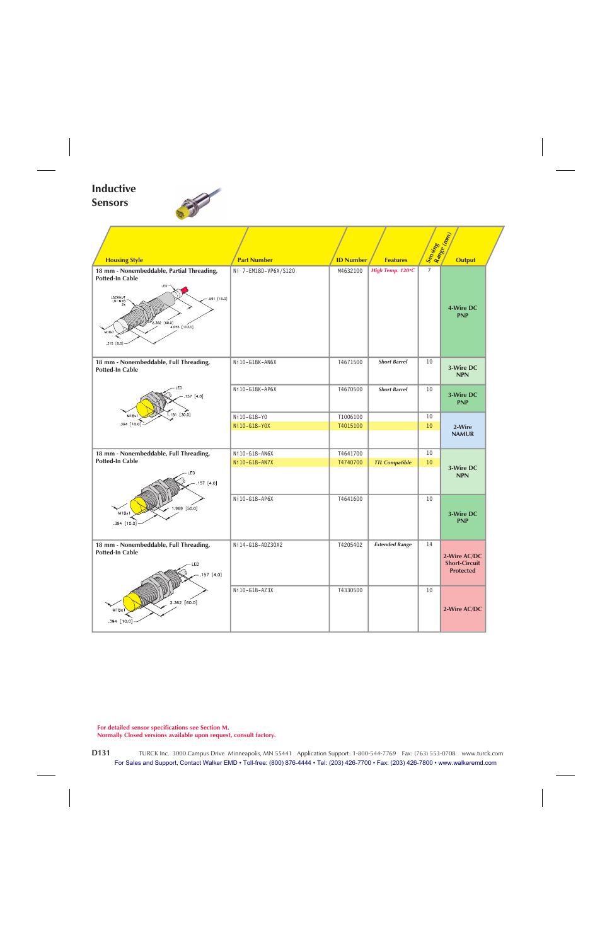## **Inductive Sensors**

F



|                                                                                                                                                                   |                      |                  |                       | Sensing<br>Range (mm |                                                          |  |  |  |
|-------------------------------------------------------------------------------------------------------------------------------------------------------------------|----------------------|------------------|-----------------------|----------------------|----------------------------------------------------------|--|--|--|
| <b>Housing Style</b>                                                                                                                                              | <b>Part Number</b>   | <b>ID Number</b> | <b>Features</b>       |                      | <b>Output</b>                                            |  |  |  |
| 18 mm - Nonembeddable, Partial Threading,<br><b>Potted-In Cable</b><br>LOCKNUT<br>LN-M18<br>.591 [15.0]<br>2.362 [60.0]<br>$4.055$ [103.0]<br>M18x1<br>.315 [8.0] | Ni 7-EM18D-VP6X/S120 | M4632100         | High Temp. 120°C      | 7                    | 4-Wire DC<br><b>PNP</b>                                  |  |  |  |
| 18 mm - Nonembeddable, Full Threading,<br><b>Potted-In Cable</b>                                                                                                  | Ni10-G18K-AN6X       | T4671500         | <b>Short Barrel</b>   | 10                   | 3-Wire DC<br><b>NPN</b>                                  |  |  |  |
| 157 [4.0]                                                                                                                                                         | Ni10-G18K-AP6X       | T4670500         | <b>Short Barrel</b>   | 10                   | 3-Wire DC<br><b>PNP</b>                                  |  |  |  |
| $1.181$ [30.0]<br>M18x1                                                                                                                                           | Ni10-G18-Y0          | T1006100         |                       | 10                   |                                                          |  |  |  |
| $.394$ [10.0]                                                                                                                                                     | Ni10-G18-Y0X         | T4015100         |                       | 10                   | 2-Wire<br><b>NAMUR</b>                                   |  |  |  |
| 18 mm - Nonembeddable, Full Threading,                                                                                                                            | Ni10-G18-AN6X        | T4641700         |                       | 10                   |                                                          |  |  |  |
| <b>Potted-In Cable</b><br>LED<br>157 [4.0]                                                                                                                        | Ni10-G18-AN7X        | T4740700         | <b>TTL Compatible</b> | 10                   | 3-Wire DC<br><b>NPN</b>                                  |  |  |  |
| 1.969 [50.0]<br>M18x1<br>.394 [10.0]                                                                                                                              | Ni10-G18-AP6X        | T4641600         |                       | 10                   | 3-Wire DC<br><b>PNP</b>                                  |  |  |  |
| 18 mm - Nonembeddable, Full Threading,<br><b>Potted-In Cable</b><br>LED<br>.157 [4.0]                                                                             | Ni14-G18-ADZ30X2     | T4205402         | <b>Extended Range</b> | 14                   | 2-Wire AC/DC<br><b>Short-Circuit</b><br><b>Protected</b> |  |  |  |
| 2.362 [60.0]<br>M18x1<br>.394 [10.0]                                                                                                                              | Ni10-G18-AZ3X        | T4330500         |                       | 10                   | 2-Wire AC/DC                                             |  |  |  |

**For detailed sensor specifications see Section M.**

**Normally Closed versions available upon request, consult factory.**